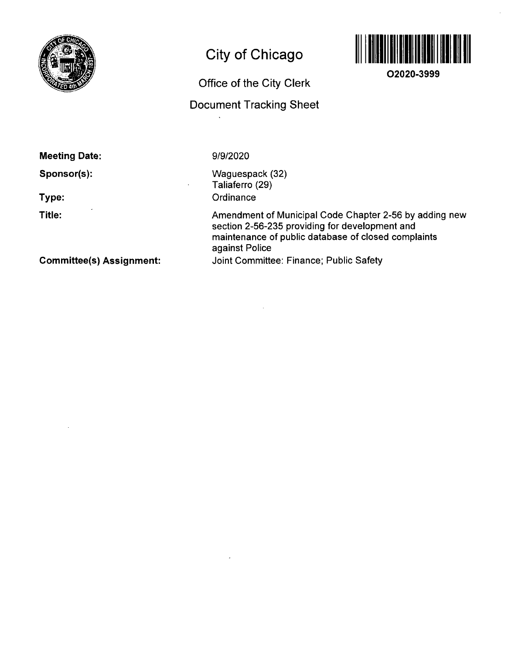

## **City of Chicago**

# **Office of the City Clerk**

### **Document Tracking Sheet**



**02020-3999** 

**Meeting Date:** 

**Sponsor(s):** 

**Type:** 

**Title:** 

9/9/2020

Waguespack (32) Taliaferro (29) **Ordinance** 

Amendment of Municipal Code Chapter 2-56 by adding new section 2-56-235 providing for development and maintenance of public database of closed complaints against Police Joint Committee: Finance; Public Safety

**Committee(s) Assignment:**